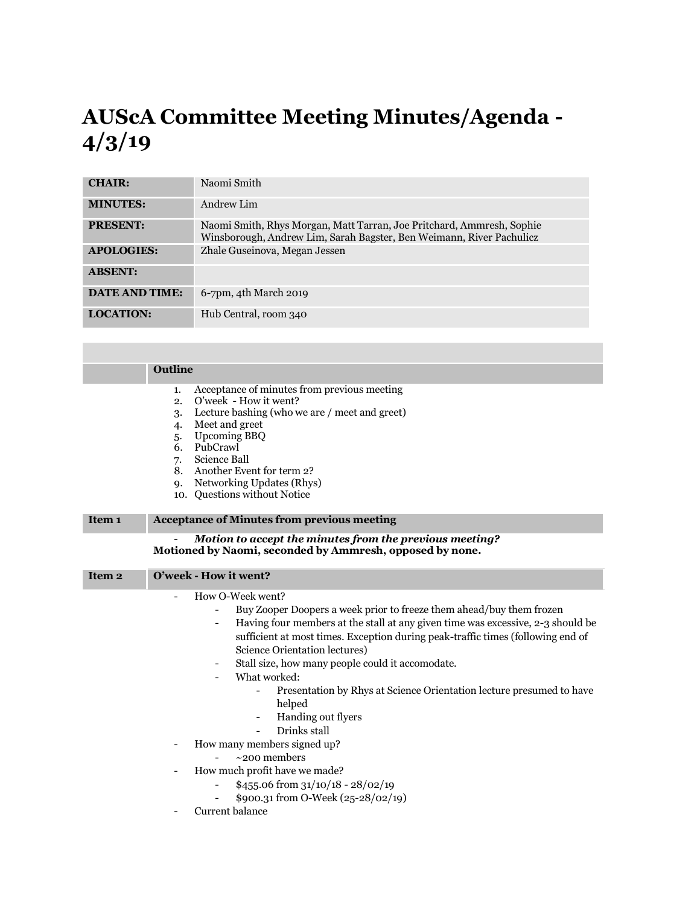## **AUScA Committee Meeting Minutes/Agenda - 4/3/19**

| <b>CHAIR:</b>         | Naomi Smith                                                                                                                                   |
|-----------------------|-----------------------------------------------------------------------------------------------------------------------------------------------|
| <b>MINUTES:</b>       | Andrew Lim                                                                                                                                    |
| <b>PRESENT:</b>       | Naomi Smith, Rhys Morgan, Matt Tarran, Joe Pritchard, Ammresh, Sophie<br>Winsborough, Andrew Lim, Sarah Bagster, Ben Weimann, River Pachulicz |
| <b>APOLOGIES:</b>     | Zhale Guseinova, Megan Jessen                                                                                                                 |
| <b>ABSENT:</b>        |                                                                                                                                               |
| <b>DATE AND TIME:</b> | 6-7pm, 4th March 2019                                                                                                                         |
| <b>LOCATION:</b>      | Hub Central, room 340                                                                                                                         |

| Outline                                                                                                                                                                                                                                                                                                                                                                                                                                                                                                                                                                                                                                                                      |
|------------------------------------------------------------------------------------------------------------------------------------------------------------------------------------------------------------------------------------------------------------------------------------------------------------------------------------------------------------------------------------------------------------------------------------------------------------------------------------------------------------------------------------------------------------------------------------------------------------------------------------------------------------------------------|
| Acceptance of minutes from previous meeting<br>1.<br>O'week - How it went?<br>2.<br>Lecture bashing (who we are / meet and greet)<br>3.<br>Meet and greet<br>$\overline{4}$<br><b>Upcoming BBQ</b><br>5.<br>PubCrawl<br>6.<br>Science Ball<br>7.<br>Another Event for term 2?<br>8.<br>Networking Updates (Rhys)<br><b>Q.</b><br>10. Questions without Notice                                                                                                                                                                                                                                                                                                                |
| <b>Acceptance of Minutes from previous meeting</b>                                                                                                                                                                                                                                                                                                                                                                                                                                                                                                                                                                                                                           |
| Motion to accept the minutes from the previous meeting?<br>Motioned by Naomi, seconded by Ammresh, opposed by none.                                                                                                                                                                                                                                                                                                                                                                                                                                                                                                                                                          |
| O'week - How it went?                                                                                                                                                                                                                                                                                                                                                                                                                                                                                                                                                                                                                                                        |
| How O-Week went?<br>Buy Zooper Doopers a week prior to freeze them ahead/buy them frozen<br>Having four members at the stall at any given time was excessive, 2-3 should be<br>$\overline{\phantom{0}}$<br>sufficient at most times. Exception during peak-traffic times (following end of<br>Science Orientation lectures)<br>Stall size, how many people could it accomodate.<br>-<br>What worked:<br>-<br>Presentation by Rhys at Science Orientation lecture presumed to have<br>helped<br>Handing out flyers<br>Drinks stall<br>$\overline{a}$<br>How many members signed up?<br>$~200$ members<br>How much profit have we made?<br>\$455.06 from $31/10/18 - 28/02/19$ |
|                                                                                                                                                                                                                                                                                                                                                                                                                                                                                                                                                                                                                                                                              |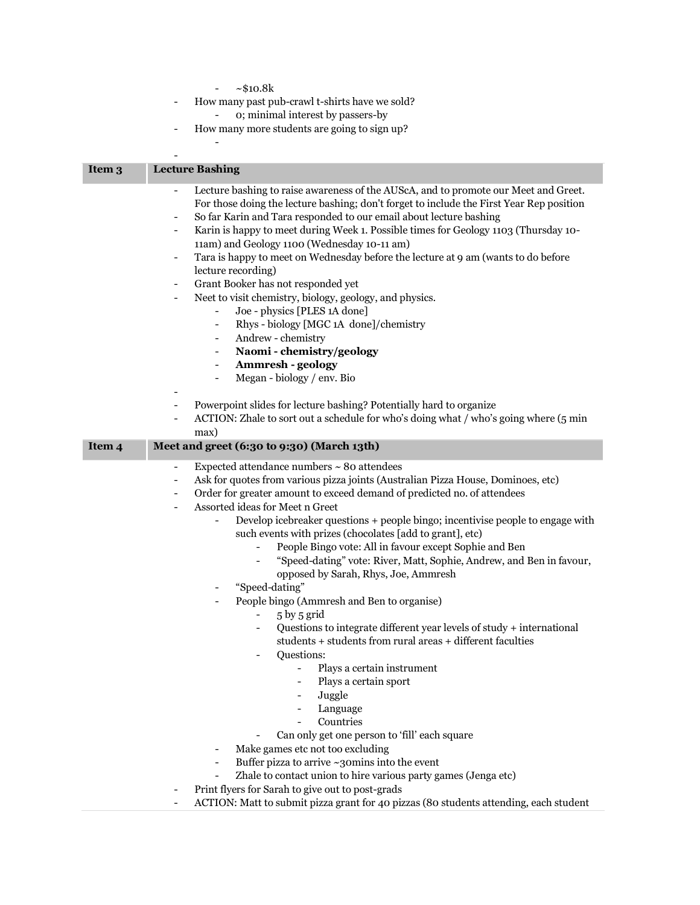|                   | ~10.8k                                                                                                                                    |
|-------------------|-------------------------------------------------------------------------------------------------------------------------------------------|
|                   | How many past pub-crawl t-shirts have we sold?                                                                                            |
|                   | o; minimal interest by passers-by                                                                                                         |
|                   | How many more students are going to sign up?<br>-                                                                                         |
|                   |                                                                                                                                           |
|                   |                                                                                                                                           |
| Item 3            | <b>Lecture Bashing</b>                                                                                                                    |
|                   | Lecture bashing to raise awareness of the AUScA, and to promote our Meet and Greet.<br>$\overline{a}$                                     |
|                   | For those doing the lecture bashing; don't forget to include the First Year Rep position                                                  |
|                   | So far Karin and Tara responded to our email about lecture bashing<br>$\qquad \qquad \blacksquare$                                        |
|                   | Karin is happy to meet during Week 1. Possible times for Geology 1103 (Thursday 10-<br>$\overline{\phantom{a}}$                           |
|                   | 11am) and Geology 1100 (Wednesday 10-11 am)                                                                                               |
|                   | Tara is happy to meet on Wednesday before the lecture at 9 am (wants to do before<br>$\overline{\phantom{0}}$                             |
|                   | lecture recording)                                                                                                                        |
|                   | Grant Booker has not responded yet<br>$\overline{\phantom{a}}$                                                                            |
|                   | Neet to visit chemistry, biology, geology, and physics.<br>$\qquad \qquad \blacksquare$                                                   |
|                   | Joe - physics [PLES 1A done]<br>$\qquad \qquad -$                                                                                         |
|                   | Rhys - biology [MGC 1A done]/chemistry<br>$\overline{\phantom{0}}$                                                                        |
|                   | Andrew - chemistry<br>$\qquad \qquad \blacksquare$                                                                                        |
|                   | Naomi - chemistry/geology<br>$\overline{\phantom{0}}$                                                                                     |
|                   | <b>Ammresh - geology</b><br>$\qquad \qquad \blacksquare$                                                                                  |
|                   | Megan - biology / env. Bio<br>$\overline{\phantom{0}}$                                                                                    |
|                   |                                                                                                                                           |
|                   | Powerpoint slides for lecture bashing? Potentially hard to organize<br>$\qquad \qquad \blacksquare$                                       |
|                   | ACTION: Zhale to sort out a schedule for who's doing what / who's going where (5 min                                                      |
|                   | max)                                                                                                                                      |
| Item <sub>4</sub> |                                                                                                                                           |
|                   | Meet and greet (6:30 to 9:30) (March 13th)                                                                                                |
|                   | Expected attendance numbers $\sim$ 80 attendees<br>$\overline{\phantom{a}}$                                                               |
|                   | Ask for quotes from various pizza joints (Australian Pizza House, Dominoes, etc)<br>$\overline{\phantom{a}}$                              |
|                   | Order for greater amount to exceed demand of predicted no. of attendees<br>-                                                              |
|                   | Assorted ideas for Meet n Greet                                                                                                           |
|                   | Develop icebreaker questions + people bingo; incentivise people to engage with                                                            |
|                   | such events with prizes (chocolates [add to grant], etc)                                                                                  |
|                   | People Bingo vote: All in favour except Sophie and Ben                                                                                    |
|                   | "Speed-dating" vote: River, Matt, Sophie, Andrew, and Ben in favour,                                                                      |
|                   | opposed by Sarah, Rhys, Joe, Ammresh                                                                                                      |
|                   | "Speed-dating"                                                                                                                            |
|                   | People bingo (Ammresh and Ben to organise)                                                                                                |
|                   | 5 by 5 grid                                                                                                                               |
|                   | Questions to integrate different year levels of study + international<br>$\overline{\phantom{a}}$                                         |
|                   | students + students from rural areas + different faculties                                                                                |
|                   | Questions:<br>$\blacksquare$                                                                                                              |
|                   | Plays a certain instrument<br>Plays a certain sport                                                                                       |
|                   | Juggle                                                                                                                                    |
|                   | Language<br>$\overline{\phantom{a}}$                                                                                                      |
|                   | Countries                                                                                                                                 |
|                   | Can only get one person to 'fill' each square                                                                                             |
|                   | Make games etc not too excluding<br>-                                                                                                     |
|                   | Buffer pizza to arrive ~30mins into the event<br>$\qquad \qquad \blacksquare$                                                             |
|                   | Zhale to contact union to hire various party games (Jenga etc)                                                                            |
|                   | Print flyers for Sarah to give out to post-grads<br>ACTION: Matt to submit pizza grant for 40 pizzas (80 students attending, each student |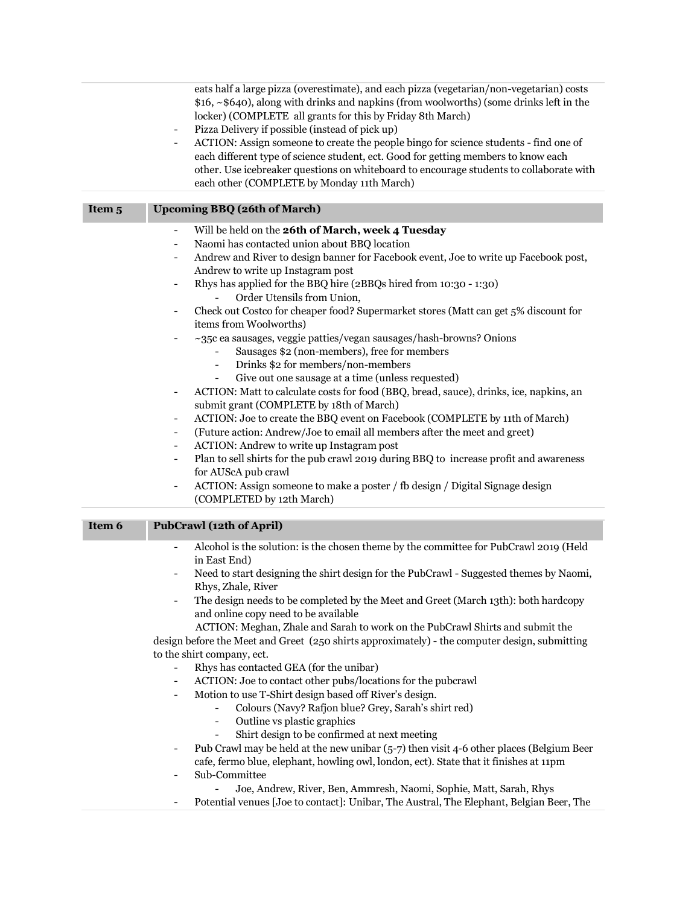eats half a large pizza (overestimate), and each pizza (vegetarian/non-vegetarian) costs \$16, ~\$640), along with drinks and napkins (from woolworths) (some drinks left in the locker) (COMPLETE all grants for this by Friday 8th March)

- Pizza Delivery if possible (instead of pick up)
- ACTION: Assign someone to create the people bingo for science students find one of each different type of science student, ect. Good for getting members to know each other. Use icebreaker questions on whiteboard to encourage students to collaborate with each other (COMPLETE by Monday 11th March)

| Item <sub>5</sub> | <b>Upcoming BBQ (26th of March)</b>                                                                                                                            |
|-------------------|----------------------------------------------------------------------------------------------------------------------------------------------------------------|
|                   | Will be held on the 26th of March, week 4 Tuesday<br>$\overline{\phantom{a}}$<br>Naomi has contacted union about BBQ location<br>-                             |
|                   | Andrew and River to design banner for Facebook event, Joe to write up Facebook post,<br>-<br>Andrew to write up Instagram post                                 |
|                   | Rhys has applied for the BBQ hire (2BBQs hired from 10:30 - 1:30)<br>-<br>Order Utensils from Union,                                                           |
|                   | Check out Costco for cheaper food? Supermarket stores (Matt can get 5% discount for<br>-<br>items from Woolworths)                                             |
|                   | $\sim$ 35c ea sausages, veggie patties/vegan sausages/hash-browns? Onions<br>$\overline{\phantom{a}}$<br>Sausages \$2 (non-members), free for members          |
|                   | Drinks \$2 for members/non-members                                                                                                                             |
|                   | Give out one sausage at a time (unless requested)                                                                                                              |
|                   | ACTION: Matt to calculate costs for food (BBQ, bread, sauce), drinks, ice, napkins, an<br>$\overline{\phantom{a}}$<br>submit grant (COMPLETE by 18th of March) |
|                   | ACTION: Joe to create the BBQ event on Facebook (COMPLETE by 11th of March)<br>$\overline{\phantom{a}}$                                                        |
|                   | (Future action: Andrew/Joe to email all members after the meet and greet)<br>-                                                                                 |
|                   | ACTION: Andrew to write up Instagram post<br>$\qquad \qquad \blacksquare$                                                                                      |
|                   | Plan to sell shirts for the pub crawl 2019 during BBQ to increase profit and awareness<br>$\overline{\phantom{a}}$                                             |
|                   | for AUScA pub crawl                                                                                                                                            |
|                   | ACTION: Assign someone to make a poster / fb design / Digital Signage design<br>$\overline{\phantom{a}}$                                                       |

|        | (COMPLETED by 12th March)                                                                                                                                                          |
|--------|------------------------------------------------------------------------------------------------------------------------------------------------------------------------------------|
|        |                                                                                                                                                                                    |
| Item 6 | <b>PubCrawl (12th of April)</b>                                                                                                                                                    |
|        | Alcohol is the solution: is the chosen theme by the committee for PubCrawl 2019 (Held<br>in East End)                                                                              |
|        | Need to start designing the shirt design for the PubCrawl - Suggested themes by Naomi,<br>Rhys, Zhale, River                                                                       |
|        | The design needs to be completed by the Meet and Greet (March 13th): both hardcopy<br>$\overline{\phantom{a}}$<br>and online copy need to be available                             |
|        | ACTION: Meghan, Zhale and Sarah to work on the PubCrawl Shirts and submit the                                                                                                      |
|        | design before the Meet and Greet (250 shirts approximately) - the computer design, submitting                                                                                      |
|        | to the shirt company, ect.                                                                                                                                                         |
|        | Rhys has contacted GEA (for the unibar)                                                                                                                                            |
|        | ACTION: Joe to contact other pubs/locations for the pubcrawl                                                                                                                       |
|        | Motion to use T-Shirt design based off River's design.                                                                                                                             |
|        | Colours (Navy? Rafjon blue? Grey, Sarah's shirt red)                                                                                                                               |
|        | Outline vs plastic graphics<br>$\blacksquare$                                                                                                                                      |
|        | Shirt design to be confirmed at next meeting                                                                                                                                       |
|        | Pub Crawl may be held at the new unibar $(5-7)$ then visit 4-6 other places (Belgium Beer<br>cafe, fermo blue, elephant, howling owl, london, ect). State that it finishes at 11pm |
|        | Sub-Committee                                                                                                                                                                      |
|        | Joe, Andrew, River, Ben, Ammresh, Naomi, Sophie, Matt, Sarah, Rhys                                                                                                                 |

- Potential venues [Joe to contact]: Unibar, The Austral, The Elephant, Belgian Beer, The